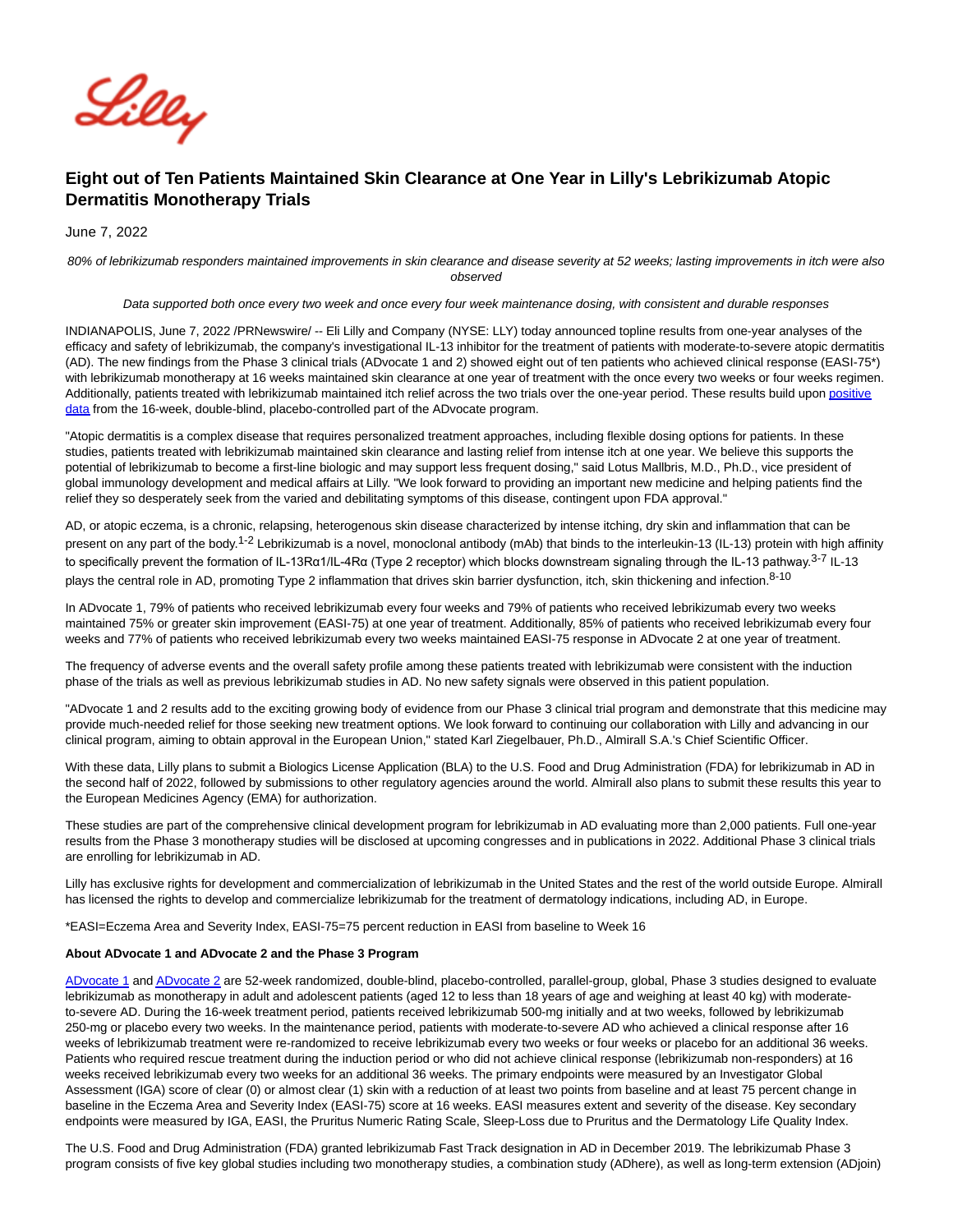

# **Eight out of Ten Patients Maintained Skin Clearance at One Year in Lilly's Lebrikizumab Atopic Dermatitis Monotherapy Trials**

June 7, 2022

80% of lebrikizumab responders maintained improvements in skin clearance and disease severity at 52 weeks; lasting improvements in itch were also observed

### Data supported both once every two week and once every four week maintenance dosing, with consistent and durable responses

INDIANAPOLIS, June 7, 2022 /PRNewswire/ -- Eli Lilly and Company (NYSE: LLY) today announced topline results from one-year analyses of the efficacy and safety of lebrikizumab, the company's investigational IL-13 inhibitor for the treatment of patients with moderate-to-severe atopic dermatitis (AD). The new findings from the Phase 3 clinical trials (ADvocate 1 and 2) showed eight out of ten patients who achieved clinical response (EASI-75\*) with lebrikizumab monotherapy at 16 weeks maintained skin clearance at one year of treatment with the once every two weeks or four weeks regimen. Additionally, patients treated with lebrikizumab maintained itch relief across the two trials over the one-year period. These results build upon [positive](https://c212.net/c/link/?t=0&l=en&o=3558798-1&h=1014670089&u=https%3A%2F%2Fc212.net%2Fc%2Flink%2F%3Ft%3D0%26l%3Den%26o%3D3497250-1%26h%3D3738464458%26u%3Dhttp%253A%252F%252Flilly.mediaroom.com%252F2022-03-26-Majority-of-Patients-Treated-with-Lebrikizumab-Achieved-Skin-Clearance-in-Lillys-Pivotal-Phase-3-Atopic-Dermatitis-Studies%253Futm_source%253Dlilly.com%2526utm_medium%253Dpress%252Brelease%2526utm_campaign%253D2022411_PR_Lebrikizumab_AAD%252B2022%26a%3D16-week%2Bdata&a=positive+data) data from the 16-week, double-blind, placebo-controlled part of the ADvocate program.

"Atopic dermatitis is a complex disease that requires personalized treatment approaches, including flexible dosing options for patients. In these studies, patients treated with lebrikizumab maintained skin clearance and lasting relief from intense itch at one year. We believe this supports the potential of lebrikizumab to become a first-line biologic and may support less frequent dosing," said Lotus Mallbris, M.D., Ph.D., vice president of global immunology development and medical affairs at Lilly. "We look forward to providing an important new medicine and helping patients find the relief they so desperately seek from the varied and debilitating symptoms of this disease, contingent upon FDA approval."

AD, or atopic eczema, is a chronic, relapsing, heterogenous skin disease characterized by intense itching, dry skin and inflammation that can be present on any part of the body.<sup>1-2</sup> Lebrikizumab is a novel, monoclonal antibody (mAb) that binds to the interleukin-13 (IL-13) protein with high affinity to specifically prevent the formation of IL-13Rα1/IL-4Rα (Type 2 receptor) which blocks downstream signaling through the IL-13 pathway.<sup>3-7</sup> IL-13 plays the central role in AD, promoting Type 2 inflammation that drives skin barrier dysfunction, itch, skin thickening and infection.<sup>8-10</sup>

In ADvocate 1, 79% of patients who received lebrikizumab every four weeks and 79% of patients who received lebrikizumab every two weeks maintained 75% or greater skin improvement (EASI-75) at one year of treatment. Additionally, 85% of patients who received lebrikizumab every four weeks and 77% of patients who received lebrikizumab every two weeks maintained EASI-75 response in ADvocate 2 at one year of treatment.

The frequency of adverse events and the overall safety profile among these patients treated with lebrikizumab were consistent with the induction phase of the trials as well as previous lebrikizumab studies in AD. No new safety signals were observed in this patient population.

"ADvocate 1 and 2 results add to the exciting growing body of evidence from our Phase 3 clinical trial program and demonstrate that this medicine may provide much-needed relief for those seeking new treatment options. We look forward to continuing our collaboration with Lilly and advancing in our clinical program, aiming to obtain approval in the European Union," stated Karl Ziegelbauer, Ph.D., Almirall S.A.'s Chief Scientific Officer.

With these data, Lilly plans to submit a Biologics License Application (BLA) to the U.S. Food and Drug Administration (FDA) for lebrikizumab in AD in the second half of 2022, followed by submissions to other regulatory agencies around the world. Almirall also plans to submit these results this year to the European Medicines Agency (EMA) for authorization.

These studies are part of the comprehensive clinical development program for lebrikizumab in AD evaluating more than 2,000 patients. Full one-year results from the Phase 3 monotherapy studies will be disclosed at upcoming congresses and in publications in 2022. Additional Phase 3 clinical trials are enrolling for lebrikizumab in AD.

Lilly has exclusive rights for development and commercialization of lebrikizumab in the United States and the rest of the world outside Europe. Almirall has licensed the rights to develop and commercialize lebrikizumab for the treatment of dermatology indications, including AD, in Europe.

\*EASI=Eczema Area and Severity Index, EASI-75=75 percent reduction in EASI from baseline to Week 16

### **About ADvocate 1 and ADvocate 2 and the Phase 3 Program**

[ADvocate 1 a](https://c212.net/c/link/?t=0&l=en&o=3558798-1&h=883266014&u=https%3A%2F%2Ftrials.lillytrialguide.com%2Fen-US%2Ftrial%2F6duv4kD1B48RPwp63igF1U%3FconditionId%3D6CRhM2YxLaK48yWcoakkik&a=ADvocate+1)n[d ADvocate 2 a](https://c212.net/c/link/?t=0&l=en&o=3558798-1&h=565913197&u=https%3A%2F%2Ftrials.lillytrialguide.com%2Fen-US%2Ftrial%2FAmPN68cQaViDZ8pT3j6hD%3FconditionId%3D6CRhM2YxLaK48yWcoakkik&a=ADvocate+2)re 52-week randomized, double-blind, placebo-controlled, parallel-group, global, Phase 3 studies designed to evaluate lebrikizumab as monotherapy in adult and adolescent patients (aged 12 to less than 18 years of age and weighing at least 40 kg) with moderateto-severe AD. During the 16-week treatment period, patients received lebrikizumab 500-mg initially and at two weeks, followed by lebrikizumab 250-mg or placebo every two weeks. In the maintenance period, patients with moderate-to-severe AD who achieved a clinical response after 16 weeks of lebrikizumab treatment were re-randomized to receive lebrikizumab every two weeks or four weeks or placebo for an additional 36 weeks. Patients who required rescue treatment during the induction period or who did not achieve clinical response (lebrikizumab non-responders) at 16 weeks received lebrikizumab every two weeks for an additional 36 weeks. The primary endpoints were measured by an Investigator Global Assessment (IGA) score of clear (0) or almost clear (1) skin with a reduction of at least two points from baseline and at least 75 percent change in baseline in the Eczema Area and Severity Index (EASI-75) score at 16 weeks. EASI measures extent and severity of the disease. Key secondary endpoints were measured by IGA, EASI, the Pruritus Numeric Rating Scale, Sleep-Loss due to Pruritus and the Dermatology Life Quality Index.

The U.S. Food and Drug Administration (FDA) granted lebrikizumab Fast Track designation in AD in December 2019. The lebrikizumab Phase 3 program consists of five key global studies including two monotherapy studies, a combination study (ADhere), as well as long-term extension (ADjoin)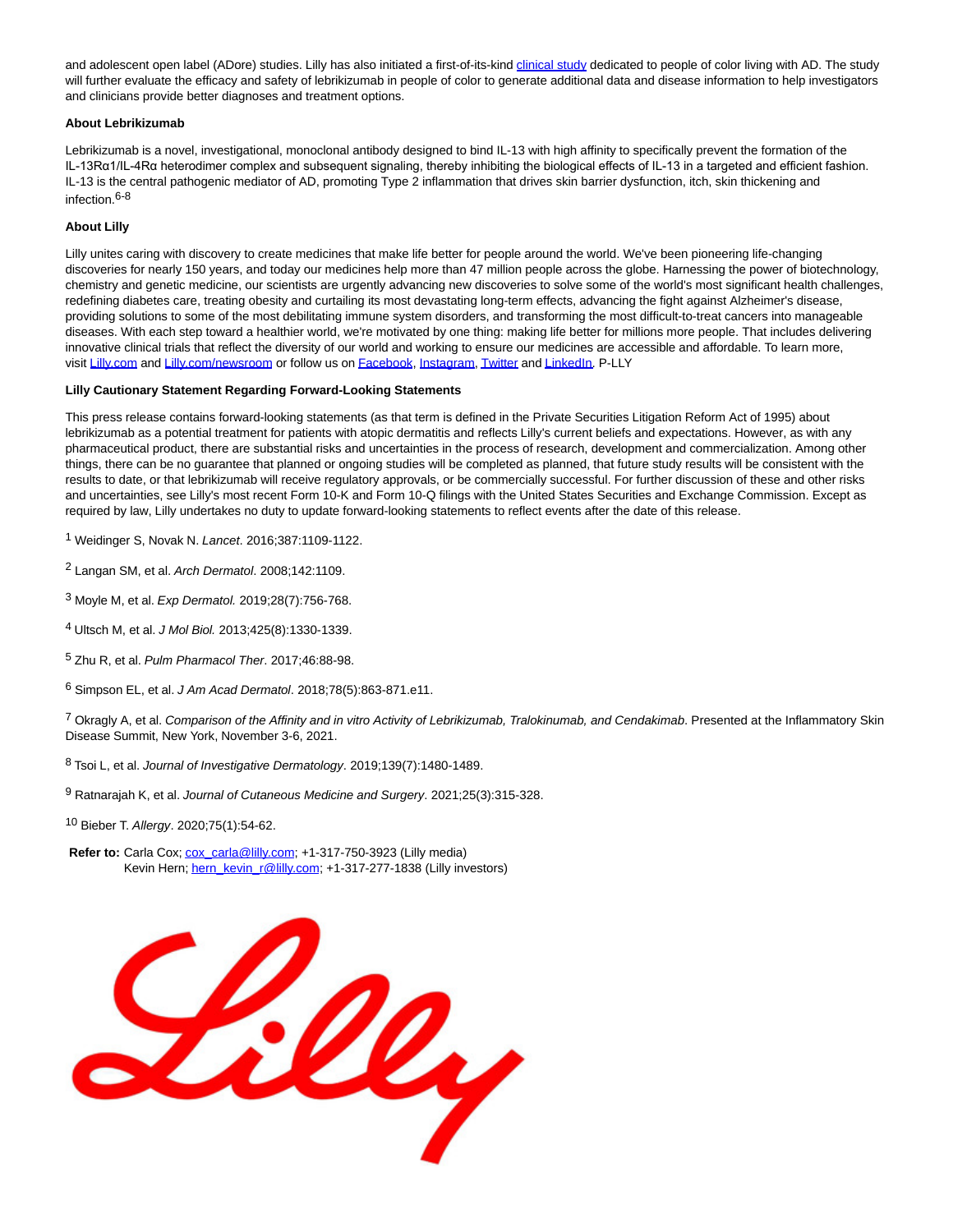and adolescent open label (ADore) studies. Lilly has also initiated a first-of-its-kind [clinical study d](https://c212.net/c/link/?t=0&l=en&o=3558798-1&h=3589286611&u=https%3A%2F%2Fwww.clinicaltrials.gov%2Fct2%2Fshow%2FNCT05372419%3Fterm%3Dskin%2Bof%2Bcolor%26cond%3Dlebrikizumab%26draw%3D2%26rank%3D1&a=clinical+study)edicated to people of color living with AD. The study will further evaluate the efficacy and safety of lebrikizumab in people of color to generate additional data and disease information to help investigators and clinicians provide better diagnoses and treatment options.

## **About Lebrikizumab**

Lebrikizumab is a novel, investigational, monoclonal antibody designed to bind IL-13 with high affinity to specifically prevent the formation of the IL-13Rα1/IL-4Rα heterodimer complex and subsequent signaling, thereby inhibiting the biological effects of IL-13 in a targeted and efficient fashion. IL-13 is the central pathogenic mediator of AD, promoting Type 2 inflammation that drives skin barrier dysfunction, itch, skin thickening and infection.6-8

## **About Lilly**

Lilly unites caring with discovery to create medicines that make life better for people around the world. We've been pioneering life-changing discoveries for nearly 150 years, and today our medicines help more than 47 million people across the globe. Harnessing the power of biotechnology, chemistry and genetic medicine, our scientists are urgently advancing new discoveries to solve some of the world's most significant health challenges, redefining diabetes care, treating obesity and curtailing its most devastating long-term effects, advancing the fight against Alzheimer's disease, providing solutions to some of the most debilitating immune system disorders, and transforming the most difficult-to-treat cancers into manageable diseases. With each step toward a healthier world, we're motivated by one thing: making life better for millions more people. That includes delivering innovative clinical trials that reflect the diversity of our world and working to ensure our medicines are accessible and affordable. To learn more, visit [Lilly.com a](https://c212.net/c/link/?t=0&l=en&o=3558798-1&h=1275135622&u=https%3A%2F%2Fwww.lilly.com%2Fnews%2Fpress-releases&a=Lilly.com)nd [Lilly.com/newsroom o](https://c212.net/c/link/?t=0&l=en&o=3558798-1&h=863163184&u=https%3A%2F%2Fwww.lilly.com%2Fnews&a=Lilly.com%2Fnewsroom)r follow us o[n Facebook,](https://c212.net/c/link/?t=0&l=en&o=3558798-1&h=1001503333&u=https%3A%2F%2Fwww.facebook.com%2Felilillyandco%2F&a=Facebook) [Instagram,](https://c212.net/c/link/?t=0&l=en&o=3558798-1&h=2008326483&u=https%3A%2F%2Finstagram.com%2Felilillyco%3Figshid%3Dlxqsf8s20oa1&a=Instagram) [Twitter a](https://c212.net/c/link/?t=0&l=en&o=3558798-1&h=289294550&u=https%3A%2F%2Ftwitter.com%2FLillyPad&a=Twitter)n[d LinkedIn.](https://c212.net/c/link/?t=0&l=en&o=3558798-1&h=2386168148&u=https%3A%2F%2Fwww.linkedin.com%2Fcompany%2Feli-lilly-and-company&a=LinkedIn) P-LLY

# **Lilly Cautionary Statement Regarding Forward-Looking Statements**

This press release contains forward-looking statements (as that term is defined in the Private Securities Litigation Reform Act of 1995) about lebrikizumab as a potential treatment for patients with atopic dermatitis and reflects Lilly's current beliefs and expectations. However, as with any pharmaceutical product, there are substantial risks and uncertainties in the process of research, development and commercialization. Among other things, there can be no guarantee that planned or ongoing studies will be completed as planned, that future study results will be consistent with the results to date, or that lebrikizumab will receive regulatory approvals, or be commercially successful. For further discussion of these and other risks and uncertainties, see Lilly's most recent Form 10-K and Form 10-Q filings with the United States Securities and Exchange Commission. Except as required by law, Lilly undertakes no duty to update forward-looking statements to reflect events after the date of this release.

1 Weidinger S, Novak N. Lancet. 2016;387:1109-1122.

2 Langan SM, et al. Arch Dermatol. 2008;142:1109.

3 Moyle M, et al. Exp Dermatol. 2019;28(7):756-768.

4 Ultsch M, et al. J Mol Biol. 2013;425(8):1330-1339.

5 Zhu R, et al. Pulm Pharmacol Ther. 2017;46:88-98.

6 Simpson EL, et al. J Am Acad Dermatol. 2018;78(5):863-871.e11.

<sup>7</sup> Okragly A, et al. Comparison of the Affinity and in vitro Activity of Lebrikizumab, Tralokinumab, and Cendakimab. Presented at the Inflammatory Skin Disease Summit, New York, November 3-6, 2021.

8 Tsoi L, et al. Journal of Investigative Dermatology. 2019;139(7):1480-1489.

9 Ratnarajah K, et al. Journal of Cutaneous Medicine and Surgery. 2021;25(3):315-328.

10 Bieber T. Allergy. 2020;75(1):54-62.

Refer to: Carla Cox[; cox\\_carla@lilly.com;](mailto:cox_carla@lilly.com) +1-317-750-3923 (Lilly media) Kevin Hern[; hern\\_kevin\\_r@lilly.com;](mailto:hern_kevin_r@lilly.com) +1-317-277-1838 (Lilly investors)